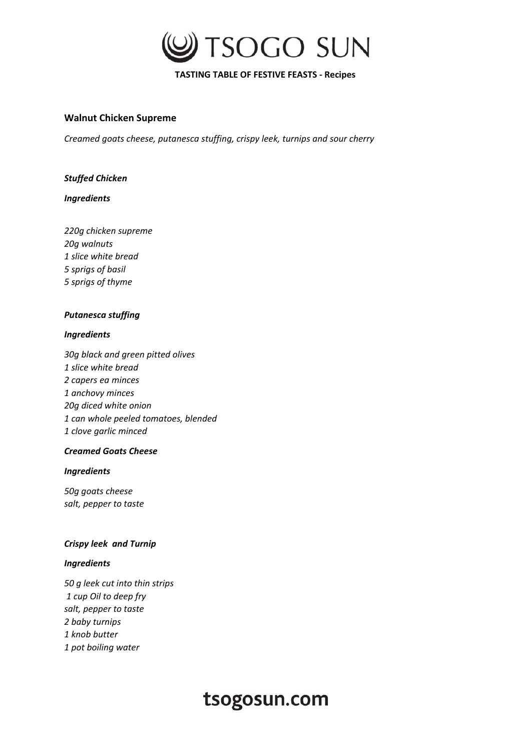

## **TASTING TABLE OF FESTIVE FEASTS - Recipes**

## **Walnut Chicken Supreme**

*Creamed goats cheese, putanesca stuffing, crispy leek, turnips and sour cherry* 

## *Stuffed Chicken*

#### *Ingredients*

*220g chicken supreme 20g walnuts 1 slice white bread 5 sprigs of basil 5 sprigs of thyme* 

## *Putanesca stuffing*

#### *Ingredients*

*30g black and green pitted olives 1 slice white bread 2 capers ea minces 1 anchovy minces 20g diced white onion 1 can whole peeled tomatoes, blended 1 clove garlic minced* 

## *Creamed Goats Cheese*

#### *Ingredients*

*50g goats cheese salt, pepper to taste* 

## *Crispy leek and Turnip*

## *Ingredients*

*50 g leek cut into thin strips 1 cup Oil to deep fry salt, pepper to taste 2 baby turnips 1 knob butter 1 pot boiling water* 

# tsogosun.com